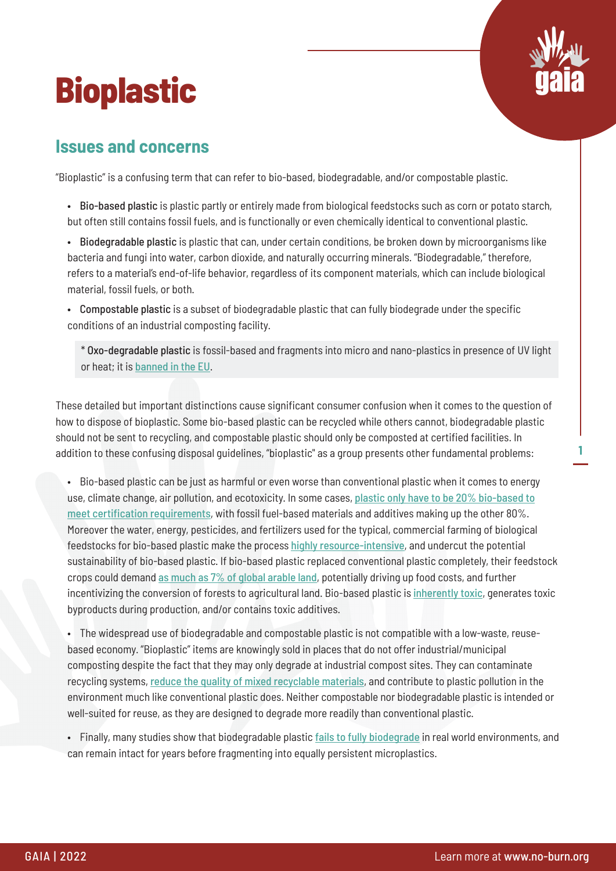# **Bioplastic**



**1**

#### **Issues and concerns**

"Bioplastic" is a confusing term that can refer to bio-based, biodegradable, and/or compostable plastic.

- Bio-based plastic is plastic partly or entirely made from biological feedstocks such as corn or potato starch, but often still contains fossil fuels, and is functionally or even chemically identical to conventional plastic.
- Biodegradable plastic is plastic that can, under certain conditions, be broken down by microorganisms like bacteria and fungi into water, carbon dioxide, and naturally occurring minerals. "Biodegradable," therefore, refers to a material's end-of-life behavior, regardless of its component materials, which can include biological material, fossil fuels, or both.
- Compostable plastic is a subset of biodegradable plastic that can fully biodegrade under the specific conditions of an industrial composting facility.

\* Oxo-degradable plastic is fossil-based and fragments into micro and nano-plastics in presence of UV light or heat; it is [banned in the EU](https://rethinkplasticalliance.eu/wp-content/uploads/2019/05/ZWE_Unfolding-the-SUP-directive.pdf).

These detailed but important distinctions cause significant consumer confusion when it comes to the question of how to dispose of bioplastic. Some bio-based plastic can be recycled while others cannot, biodegradable plastic should not be sent to recycling, and compostable plastic should only be composted at certified facilities. In addition to these confusing disposal guidelines, "bioplastic'' as a group presents other fundamental problems:

• Bio-based plastic can be just as harmful or even worse than conventional plastic when it comes to energy use, climate change, air pollution, and ecotoxicity. In some cases, [plastic only have to be 20% bio-based to](http://www.corbion.com/media/90190/eubp_frequently_asked_questions_on_bioplastics.pdf) [meet certification requirements](http://www.corbion.com/media/90190/eubp_frequently_asked_questions_on_bioplastics.pdf), with fossil fuel-based materials and additives making up the other 80%. Moreover the water, energy, pesticides, and fertilizers used for the typical, commercial farming of biological feedstocks for bio-based plastic make the process [highly resource-intensive](https://doi.org/10.1016/j.jclepro.2020.121158), and undercut the potential sustainability of bio-based plastic. If bio-based plastic replaced conventional plastic completely, their feedstock crops could demand [as much as 7% of global arable land](https://doi.org/10.1002/9781118676646.ch13), potentially driving up food costs, and further incentivizing the conversion of forests to agricultural land. Bio-based plastic is *[inherently toxic](https://doi.org/10.1016/j.jclepro.2011.10.003)*, generates toxic byproducts during production, and/or contains toxic additives.

• The widespread use of biodegradable and compostable plastic is not compatible with a low-waste, reusebased economy. "Bioplastic" items are knowingly sold in places that do not offer industrial/municipal composting despite the fact that they may only degrade at industrial compost sites. They can contaminate recycling systems, [reduce the quality of mixed recyclable materials](https://doi.org/10.1002/anie.201805766), and contribute to plastic pollution in the environment much like conventional plastic does. Neither compostable nor biodegradable plastic is intended or well-suited for reuse, as they are designed to degrade more readily than conventional plastic.

• Finally, many studies show that biodegradable plastic [fails to fully biodegrade](https://doi.org/10.1021/acs.est.8b06984) in real world environments, and can remain intact for years before fragmenting into equally persistent microplastics.